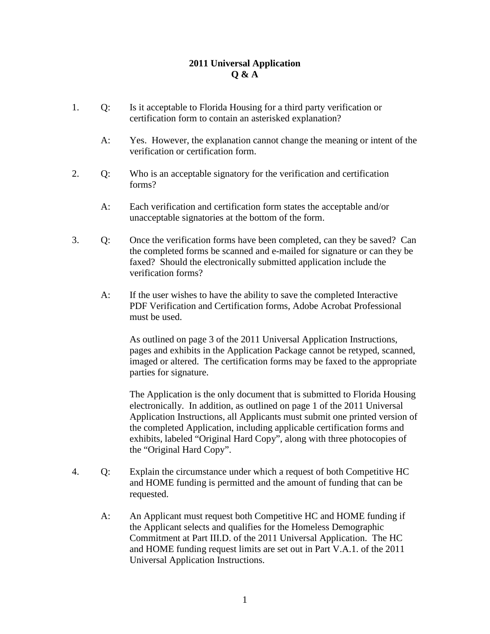## **2011 Universal Application Q & A**

- 1. Q: Is it acceptable to Florida Housing for a third party verification or certification form to contain an asterisked explanation?
	- A: Yes. However, the explanation cannot change the meaning or intent of the verification or certification form.
- 2. Q: Who is an acceptable signatory for the verification and certification forms?
	- A: Each verification and certification form states the acceptable and/or unacceptable signatories at the bottom of the form.
- 3. Q: Once the verification forms have been completed, can they be saved? Can the completed forms be scanned and e-mailed for signature or can they be faxed? Should the electronically submitted application include the verification forms?
	- A: If the user wishes to have the ability to save the completed Interactive PDF Verification and Certification forms, Adobe Acrobat Professional must be used.

As outlined on page 3 of the 2011 Universal Application Instructions, pages and exhibits in the Application Package cannot be retyped, scanned, imaged or altered. The certification forms may be faxed to the appropriate parties for signature.

The Application is the only document that is submitted to Florida Housing electronically. In addition, as outlined on page 1 of the 2011 Universal Application Instructions, all Applicants must submit one printed version of the completed Application, including applicable certification forms and exhibits, labeled "Original Hard Copy", along with three photocopies of the "Original Hard Copy".

- 4. Q: Explain the circumstance under which a request of both Competitive HC and HOME funding is permitted and the amount of funding that can be requested.
	- A: An Applicant must request both Competitive HC and HOME funding if the Applicant selects and qualifies for the Homeless Demographic Commitment at Part III.D. of the 2011 Universal Application. The HC and HOME funding request limits are set out in Part V.A.1. of the 2011 Universal Application Instructions.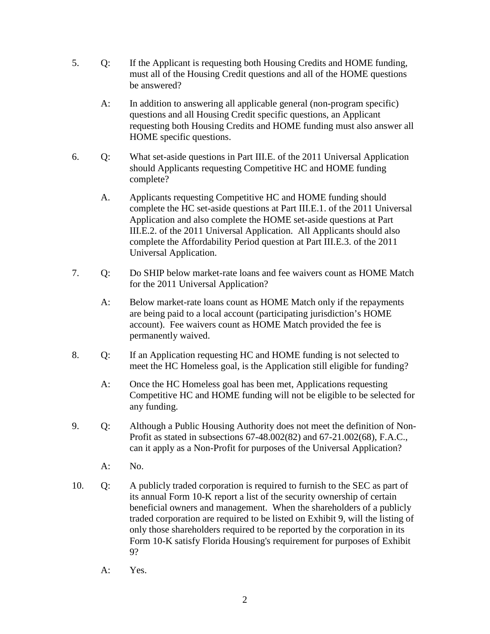- 5. Q: If the Applicant is requesting both Housing Credits and HOME funding, must all of the Housing Credit questions and all of the HOME questions be answered?
	- A: In addition to answering all applicable general (non-program specific) questions and all Housing Credit specific questions, an Applicant requesting both Housing Credits and HOME funding must also answer all HOME specific questions.
- 6. Q: What set-aside questions in Part III.E. of the 2011 Universal Application should Applicants requesting Competitive HC and HOME funding complete?
	- A. Applicants requesting Competitive HC and HOME funding should complete the HC set-aside questions at Part III.E.1. of the 2011 Universal Application and also complete the HOME set-aside questions at Part III.E.2. of the 2011 Universal Application. All Applicants should also complete the Affordability Period question at Part III.E.3. of the 2011 Universal Application.
- 7. Q: Do SHIP below market-rate loans and fee waivers count as HOME Match for the 2011 Universal Application?
	- A: Below market-rate loans count as HOME Match only if the repayments are being paid to a local account (participating jurisdiction's HOME account). Fee waivers count as HOME Match provided the fee is permanently waived.
- 8. Q: If an Application requesting HC and HOME funding is not selected to meet the HC Homeless goal, is the Application still eligible for funding?
	- A: Once the HC Homeless goal has been met, Applications requesting Competitive HC and HOME funding will not be eligible to be selected for any funding.
- 9. Q: Although a Public Housing Authority does not meet the definition of Non-Profit as stated in subsections 67-48.002(82) and 67-21.002(68), F.A.C., can it apply as a Non-Profit for purposes of the Universal Application?
	- A: No.
- 10. Q: A publicly traded corporation is required to furnish to the SEC as part of its annual Form 10-K report a list of the security ownership of certain beneficial owners and management. When the shareholders of a publicly traded corporation are required to be listed on Exhibit 9, will the listing of only those shareholders required to be reported by the corporation in its Form 10-K satisfy Florida Housing's requirement for purposes of Exhibit 9?
	- A: Yes.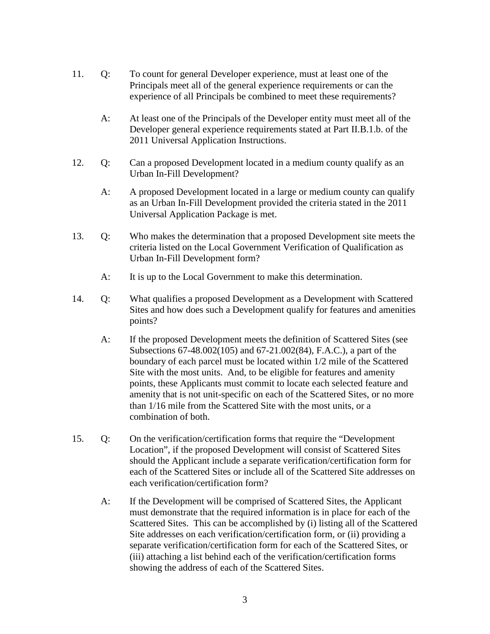- 11. Q: To count for general Developer experience, must at least one of the Principals meet all of the general experience requirements or can the experience of all Principals be combined to meet these requirements?
	- A: At least one of the Principals of the Developer entity must meet all of the Developer general experience requirements stated at Part II.B.1.b. of the 2011 Universal Application Instructions.
- 12. Q: Can a proposed Development located in a medium county qualify as an Urban In-Fill Development?
	- A: A proposed Development located in a large or medium county can qualify as an Urban In-Fill Development provided the criteria stated in the 2011 Universal Application Package is met.
- 13. Q: Who makes the determination that a proposed Development site meets the criteria listed on the Local Government Verification of Qualification as Urban In-Fill Development form?
	- A: It is up to the Local Government to make this determination.
- 14. Q: What qualifies a proposed Development as a Development with Scattered Sites and how does such a Development qualify for features and amenities points?
	- A: If the proposed Development meets the definition of Scattered Sites (see Subsections 67-48.002(105) and 67-21.002(84), F.A.C.), a part of the boundary of each parcel must be located within 1/2 mile of the Scattered Site with the most units. And, to be eligible for features and amenity points, these Applicants must commit to locate each selected feature and amenity that is not unit-specific on each of the Scattered Sites, or no more than 1/16 mile from the Scattered Site with the most units, or a combination of both.
- 15. Q: On the verification/certification forms that require the "Development Location", if the proposed Development will consist of Scattered Sites should the Applicant include a separate verification/certification form for each of the Scattered Sites or include all of the Scattered Site addresses on each verification/certification form?
	- A: If the Development will be comprised of Scattered Sites, the Applicant must demonstrate that the required information is in place for each of the Scattered Sites. This can be accomplished by (i) listing all of the Scattered Site addresses on each verification/certification form, or (ii) providing a separate verification/certification form for each of the Scattered Sites, or (iii) attaching a list behind each of the verification/certification forms showing the address of each of the Scattered Sites.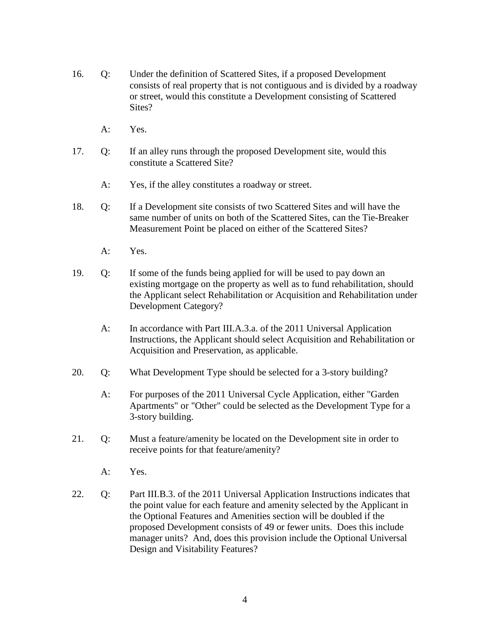- 16. Q: Under the definition of Scattered Sites, if a proposed Development consists of real property that is not contiguous and is divided by a roadway or street, would this constitute a Development consisting of Scattered Sites?
	- A: Yes.
- 17. Q: If an alley runs through the proposed Development site, would this constitute a Scattered Site?
	- A: Yes, if the alley constitutes a roadway or street.
- 18. Q: If a Development site consists of two Scattered Sites and will have the same number of units on both of the Scattered Sites, can the Tie-Breaker Measurement Point be placed on either of the Scattered Sites?
	- A: Yes.
- 19. Q: If some of the funds being applied for will be used to pay down an existing mortgage on the property as well as to fund rehabilitation, should the Applicant select Rehabilitation or Acquisition and Rehabilitation under Development Category?
	- A: In accordance with Part III.A.3.a. of the 2011 Universal Application Instructions, the Applicant should select Acquisition and Rehabilitation or Acquisition and Preservation, as applicable.
- 20. Q: What Development Type should be selected for a 3-story building?
	- A: For purposes of the 2011 Universal Cycle Application, either "Garden Apartments" or "Other" could be selected as the Development Type for a 3-story building.
- 21. Q: Must a feature/amenity be located on the Development site in order to receive points for that feature/amenity?
	- A: Yes.
- 22. Q: Part III.B.3. of the 2011 Universal Application Instructions indicates that the point value for each feature and amenity selected by the Applicant in the Optional Features and Amenities section will be doubled if the proposed Development consists of 49 or fewer units. Does this include manager units? And, does this provision include the Optional Universal Design and Visitability Features?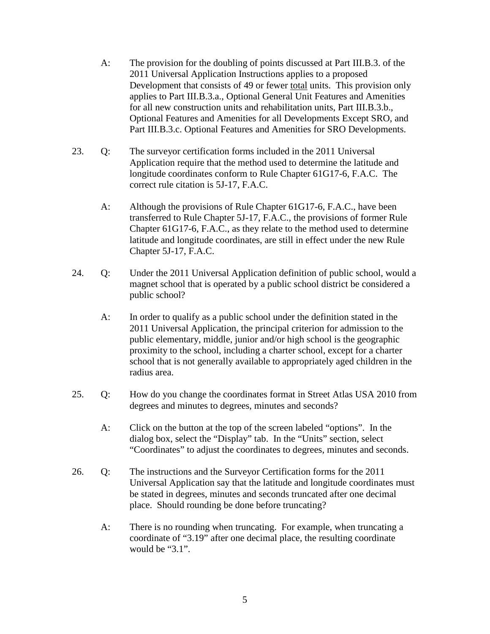- A: The provision for the doubling of points discussed at Part III.B.3. of the 2011 Universal Application Instructions applies to a proposed Development that consists of 49 or fewer total units. This provision only applies to Part III.B.3.a., Optional General Unit Features and Amenities for all new construction units and rehabilitation units, Part III.B.3.b., Optional Features and Amenities for all Developments Except SRO, and Part III.B.3.c. Optional Features and Amenities for SRO Developments.
- 23. Q: The surveyor certification forms included in the 2011 Universal Application require that the method used to determine the latitude and longitude coordinates conform to Rule Chapter 61G17-6, F.A.C. The correct rule citation is 5J-17, F.A.C.
	- A: Although the provisions of Rule Chapter 61G17-6, F.A.C., have been transferred to Rule Chapter 5J-17, F.A.C., the provisions of former Rule Chapter 61G17-6, F.A.C., as they relate to the method used to determine latitude and longitude coordinates, are still in effect under the new Rule Chapter 5J-17, F.A.C.
- 24. Q: Under the 2011 Universal Application definition of public school, would a magnet school that is operated by a public school district be considered a public school?
	- A: In order to qualify as a public school under the definition stated in the 2011 Universal Application, the principal criterion for admission to the public elementary, middle, junior and/or high school is the geographic proximity to the school, including a charter school, except for a charter school that is not generally available to appropriately aged children in the radius area.
- 25. Q: How do you change the coordinates format in Street Atlas USA 2010 from degrees and minutes to degrees, minutes and seconds?
	- A: Click on the button at the top of the screen labeled "options". In the dialog box, select the "Display" tab. In the "Units" section, select "Coordinates" to adjust the coordinates to degrees, minutes and seconds.
- 26. Q: The instructions and the Surveyor Certification forms for the 2011 Universal Application say that the latitude and longitude coordinates must be stated in degrees, minutes and seconds truncated after one decimal place. Should rounding be done before truncating?
	- A: There is no rounding when truncating. For example, when truncating a coordinate of "3.19" after one decimal place, the resulting coordinate would be "3.1".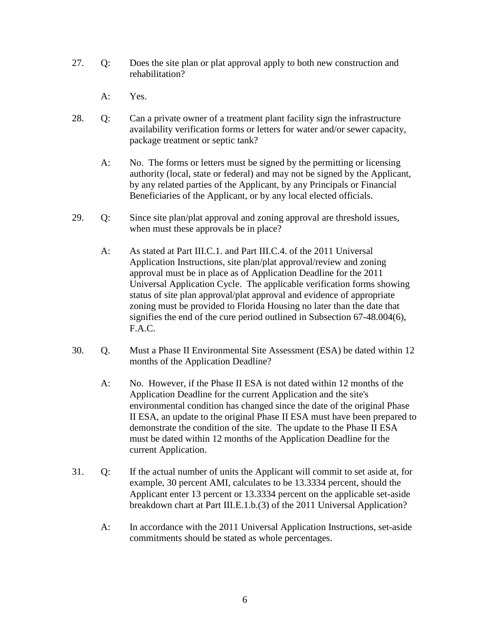- 27. Q: Does the site plan or plat approval apply to both new construction and rehabilitation?
	- A: Yes.
- 28. Q: Can a private owner of a treatment plant facility sign the infrastructure availability verification forms or letters for water and/or sewer capacity, package treatment or septic tank?
	- A: No. The forms or letters must be signed by the permitting or licensing authority (local, state or federal) and may not be signed by the Applicant, by any related parties of the Applicant, by any Principals or Financial Beneficiaries of the Applicant, or by any local elected officials.
- 29. Q: Since site plan/plat approval and zoning approval are threshold issues, when must these approvals be in place?
	- A: As stated at Part III.C.1. and Part III.C.4. of the 2011 Universal Application Instructions, site plan/plat approval/review and zoning approval must be in place as of Application Deadline for the 2011 Universal Application Cycle. The applicable verification forms showing status of site plan approval/plat approval and evidence of appropriate zoning must be provided to Florida Housing no later than the date that signifies the end of the cure period outlined in Subsection 67-48.004(6), F.A.C.
- 30. Q. Must a Phase II Environmental Site Assessment (ESA) be dated within 12 months of the Application Deadline?
	- A: No. However, if the Phase II ESA is not dated within 12 months of the Application Deadline for the current Application and the site's environmental condition has changed since the date of the original Phase II ESA, an update to the original Phase II ESA must have been prepared to demonstrate the condition of the site. The update to the Phase II ESA must be dated within 12 months of the Application Deadline for the current Application.
- 31. Q: If the actual number of units the Applicant will commit to set aside at, for example, 30 percent AMI, calculates to be 13.3334 percent, should the Applicant enter 13 percent or 13.3334 percent on the applicable set-aside breakdown chart at Part III.E.1.b.(3) of the 2011 Universal Application?
	- A: In accordance with the 2011 Universal Application Instructions, set-aside commitments should be stated as whole percentages.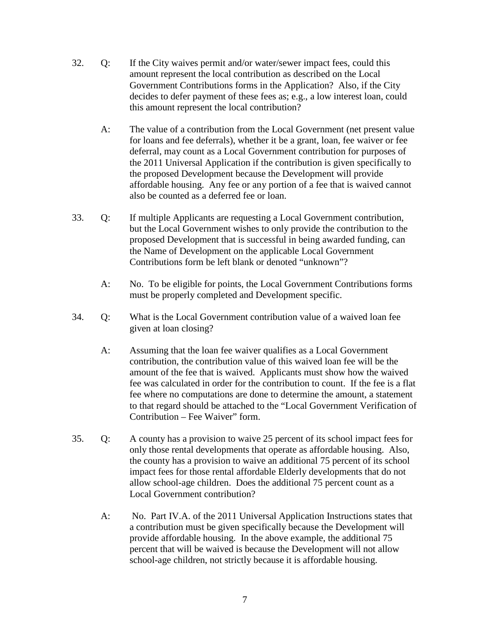- 32. Q: If the City waives permit and/or water/sewer impact fees, could this amount represent the local contribution as described on the Local Government Contributions forms in the Application? Also, if the City decides to defer payment of these fees as; e.g., a low interest loan, could this amount represent the local contribution?
	- A: The value of a contribution from the Local Government (net present value for loans and fee deferrals), whether it be a grant, loan, fee waiver or fee deferral, may count as a Local Government contribution for purposes of the 2011 Universal Application if the contribution is given specifically to the proposed Development because the Development will provide affordable housing. Any fee or any portion of a fee that is waived cannot also be counted as a deferred fee or loan.
- 33. Q: If multiple Applicants are requesting a Local Government contribution, but the Local Government wishes to only provide the contribution to the proposed Development that is successful in being awarded funding, can the Name of Development on the applicable Local Government Contributions form be left blank or denoted "unknown"?
	- A: No. To be eligible for points, the Local Government Contributions forms must be properly completed and Development specific.
- 34. Q: What is the Local Government contribution value of a waived loan fee given at loan closing?
	- A: Assuming that the loan fee waiver qualifies as a Local Government contribution, the contribution value of this waived loan fee will be the amount of the fee that is waived. Applicants must show how the waived fee was calculated in order for the contribution to count. If the fee is a flat fee where no computations are done to determine the amount, a statement to that regard should be attached to the "Local Government Verification of Contribution – Fee Waiver" form.
- 35. Q: A county has a provision to waive 25 percent of its school impact fees for only those rental developments that operate as affordable housing. Also, the county has a provision to waive an additional 75 percent of its school impact fees for those rental affordable Elderly developments that do not allow school-age children. Does the additional 75 percent count as a Local Government contribution?
	- A: No. Part IV.A. of the 2011 Universal Application Instructions states that a contribution must be given specifically because the Development will provide affordable housing. In the above example, the additional 75 percent that will be waived is because the Development will not allow school-age children, not strictly because it is affordable housing.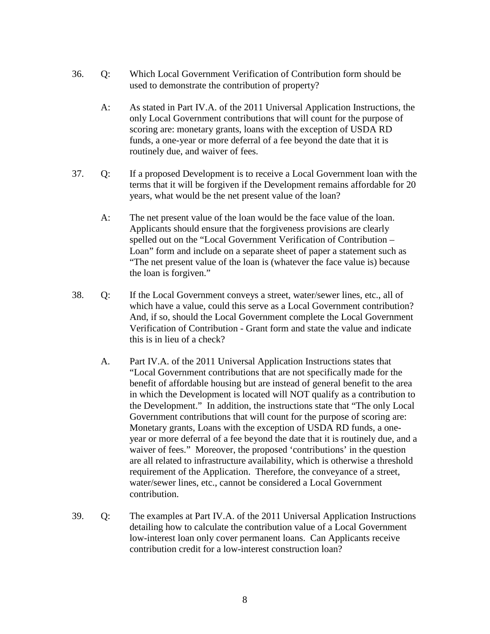- 36. Q: Which Local Government Verification of Contribution form should be used to demonstrate the contribution of property?
	- A: As stated in Part IV.A. of the 2011 Universal Application Instructions, the only Local Government contributions that will count for the purpose of scoring are: monetary grants, loans with the exception of USDA RD funds, a one-year or more deferral of a fee beyond the date that it is routinely due, and waiver of fees.
- 37. Q: If a proposed Development is to receive a Local Government loan with the terms that it will be forgiven if the Development remains affordable for 20 years, what would be the net present value of the loan?
	- A: The net present value of the loan would be the face value of the loan. Applicants should ensure that the forgiveness provisions are clearly spelled out on the "Local Government Verification of Contribution – Loan" form and include on a separate sheet of paper a statement such as "The net present value of the loan is (whatever the face value is) because the loan is forgiven."
- 38. Q: If the Local Government conveys a street, water/sewer lines, etc., all of which have a value, could this serve as a Local Government contribution? And, if so, should the Local Government complete the Local Government Verification of Contribution - Grant form and state the value and indicate this is in lieu of a check?
	- A. Part IV.A. of the 2011 Universal Application Instructions states that "Local Government contributions that are not specifically made for the benefit of affordable housing but are instead of general benefit to the area in which the Development is located will NOT qualify as a contribution to the Development." In addition, the instructions state that "The only Local Government contributions that will count for the purpose of scoring are: Monetary grants, Loans with the exception of USDA RD funds, a oneyear or more deferral of a fee beyond the date that it is routinely due, and a waiver of fees." Moreover, the proposed 'contributions' in the question are all related to infrastructure availability, which is otherwise a threshold requirement of the Application. Therefore, the conveyance of a street, water/sewer lines, etc., cannot be considered a Local Government contribution.
- 39. Q: The examples at Part IV.A. of the 2011 Universal Application Instructions detailing how to calculate the contribution value of a Local Government low-interest loan only cover permanent loans. Can Applicants receive contribution credit for a low-interest construction loan?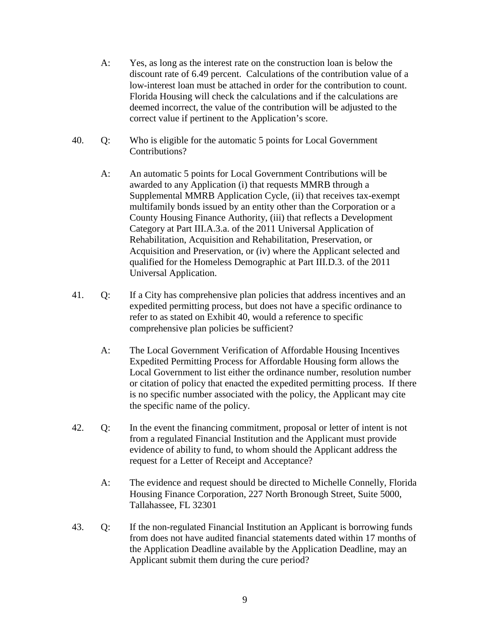- A: Yes, as long as the interest rate on the construction loan is below the discount rate of 6.49 percent. Calculations of the contribution value of a low-interest loan must be attached in order for the contribution to count. Florida Housing will check the calculations and if the calculations are deemed incorrect, the value of the contribution will be adjusted to the correct value if pertinent to the Application's score.
- 40. Q: Who is eligible for the automatic 5 points for Local Government Contributions?
	- A: An automatic 5 points for Local Government Contributions will be awarded to any Application (i) that requests MMRB through a Supplemental MMRB Application Cycle, (ii) that receives tax-exempt multifamily bonds issued by an entity other than the Corporation or a County Housing Finance Authority, (iii) that reflects a Development Category at Part III.A.3.a. of the 2011 Universal Application of Rehabilitation, Acquisition and Rehabilitation, Preservation, or Acquisition and Preservation, or (iv) where the Applicant selected and qualified for the Homeless Demographic at Part III.D.3. of the 2011 Universal Application.
- 41. Q: If a City has comprehensive plan policies that address incentives and an expedited permitting process, but does not have a specific ordinance to refer to as stated on Exhibit 40, would a reference to specific comprehensive plan policies be sufficient?
	- A: The Local Government Verification of Affordable Housing Incentives Expedited Permitting Process for Affordable Housing form allows the Local Government to list either the ordinance number, resolution number or citation of policy that enacted the expedited permitting process. If there is no specific number associated with the policy, the Applicant may cite the specific name of the policy.
- 42. Q: In the event the financing commitment, proposal or letter of intent is not from a regulated Financial Institution and the Applicant must provide evidence of ability to fund, to whom should the Applicant address the request for a Letter of Receipt and Acceptance?
	- A: The evidence and request should be directed to Michelle Connelly, Florida Housing Finance Corporation, 227 North Bronough Street, Suite 5000, Tallahassee, FL 32301
- 43. Q: If the non-regulated Financial Institution an Applicant is borrowing funds from does not have audited financial statements dated within 17 months of the Application Deadline available by the Application Deadline, may an Applicant submit them during the cure period?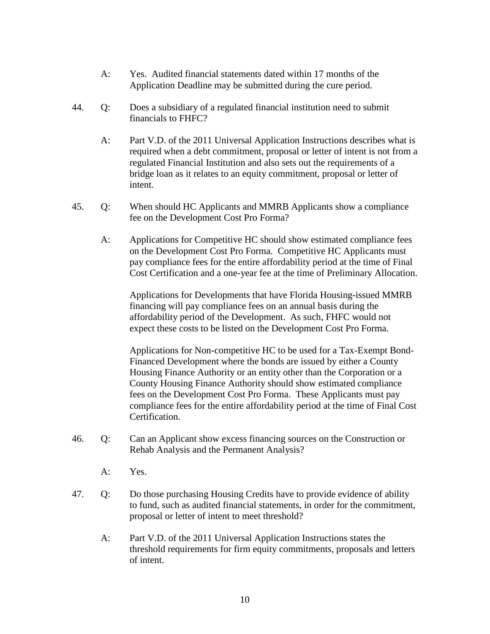- A: Yes. Audited financial statements dated within 17 months of the Application Deadline may be submitted during the cure period.
- 44. Q: Does a subsidiary of a regulated financial institution need to submit financials to FHFC?
	- A: Part V.D. of the 2011 Universal Application Instructions describes what is required when a debt commitment, proposal or letter of intent is not from a regulated Financial Institution and also sets out the requirements of a bridge loan as it relates to an equity commitment, proposal or letter of intent.
- 45. Q: When should HC Applicants and MMRB Applicants show a compliance fee on the Development Cost Pro Forma?
	- A: Applications for Competitive HC should show estimated compliance fees on the Development Cost Pro Forma. Competitive HC Applicants must pay compliance fees for the entire affordability period at the time of Final Cost Certification and a one-year fee at the time of Preliminary Allocation.

Applications for Developments that have Florida Housing-issued MMRB financing will pay compliance fees on an annual basis during the affordability period of the Development. As such, FHFC would not expect these costs to be listed on the Development Cost Pro Forma.

Applications for Non-competitive HC to be used for a Tax-Exempt Bond-Financed Development where the bonds are issued by either a County Housing Finance Authority or an entity other than the Corporation or a County Housing Finance Authority should show estimated compliance fees on the Development Cost Pro Forma. These Applicants must pay compliance fees for the entire affordability period at the time of Final Cost Certification.

- 46. Q: Can an Applicant show excess financing sources on the Construction or Rehab Analysis and the Permanent Analysis?
	- A: Yes.
- 47. Q: Do those purchasing Housing Credits have to provide evidence of ability to fund, such as audited financial statements, in order for the commitment, proposal or letter of intent to meet threshold?
	- A: Part V.D. of the 2011 Universal Application Instructions states the threshold requirements for firm equity commitments, proposals and letters of intent.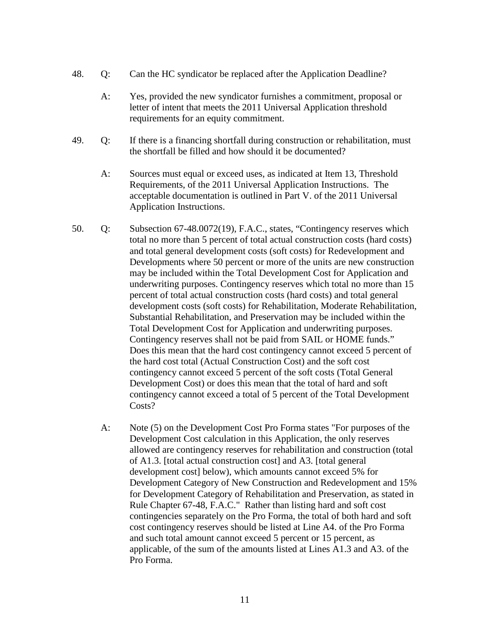- 48. Q: Can the HC syndicator be replaced after the Application Deadline?
	- A: Yes, provided the new syndicator furnishes a commitment, proposal or letter of intent that meets the 2011 Universal Application threshold requirements for an equity commitment.
- 49. Q: If there is a financing shortfall during construction or rehabilitation, must the shortfall be filled and how should it be documented?
	- A: Sources must equal or exceed uses, as indicated at Item 13, Threshold Requirements, of the 2011 Universal Application Instructions. The acceptable documentation is outlined in Part V. of the 2011 Universal Application Instructions.
- 50. Q: Subsection 67-48.0072(19), F.A.C., states, "Contingency reserves which total no more than 5 percent of total actual construction costs (hard costs) and total general development costs (soft costs) for Redevelopment and Developments where 50 percent or more of the units are new construction may be included within the Total Development Cost for Application and underwriting purposes. Contingency reserves which total no more than 15 percent of total actual construction costs (hard costs) and total general development costs (soft costs) for Rehabilitation, Moderate Rehabilitation, Substantial Rehabilitation, and Preservation may be included within the Total Development Cost for Application and underwriting purposes. Contingency reserves shall not be paid from SAIL or HOME funds." Does this mean that the hard cost contingency cannot exceed 5 percent of the hard cost total (Actual Construction Cost) and the soft cost contingency cannot exceed 5 percent of the soft costs (Total General Development Cost) or does this mean that the total of hard and soft contingency cannot exceed a total of 5 percent of the Total Development Costs?
	- A: Note (5) on the Development Cost Pro Forma states "For purposes of the Development Cost calculation in this Application, the only reserves allowed are contingency reserves for rehabilitation and construction (total of A1.3. [total actual construction cost] and A3. [total general development cost] below), which amounts cannot exceed 5% for Development Category of New Construction and Redevelopment and 15% for Development Category of Rehabilitation and Preservation, as stated in Rule Chapter 67-48, F.A.C." Rather than listing hard and soft cost contingencies separately on the Pro Forma, the total of both hard and soft cost contingency reserves should be listed at Line A4. of the Pro Forma and such total amount cannot exceed 5 percent or 15 percent, as applicable, of the sum of the amounts listed at Lines A1.3 and A3. of the Pro Forma.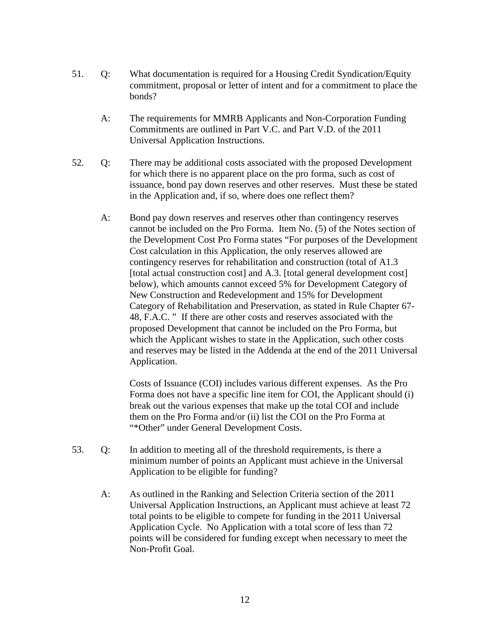- 51. Q: What documentation is required for a Housing Credit Syndication/Equity commitment, proposal or letter of intent and for a commitment to place the bonds?
	- A: The requirements for MMRB Applicants and Non-Corporation Funding Commitments are outlined in Part V.C. and Part V.D. of the 2011 Universal Application Instructions.
- 52. Q: There may be additional costs associated with the proposed Development for which there is no apparent place on the pro forma, such as cost of issuance, bond pay down reserves and other reserves. Must these be stated in the Application and, if so, where does one reflect them?
	- A: Bond pay down reserves and reserves other than contingency reserves cannot be included on the Pro Forma. Item No. (5) of the Notes section of the Development Cost Pro Forma states "For purposes of the Development Cost calculation in this Application, the only reserves allowed are contingency reserves for rehabilitation and construction (total of A1.3 [total actual construction cost] and A.3. [total general development cost] below), which amounts cannot exceed 5% for Development Category of New Construction and Redevelopment and 15% for Development Category of Rehabilitation and Preservation, as stated in Rule Chapter 67- 48, F.A.C. " If there are other costs and reserves associated with the proposed Development that cannot be included on the Pro Forma, but which the Applicant wishes to state in the Application, such other costs and reserves may be listed in the Addenda at the end of the 2011 Universal Application.

Costs of Issuance (COI) includes various different expenses. As the Pro Forma does not have a specific line item for COI, the Applicant should (i) break out the various expenses that make up the total COI and include them on the Pro Forma and/or (ii) list the COI on the Pro Forma at "\*Other" under General Development Costs.

- 53. Q: In addition to meeting all of the threshold requirements, is there a minimum number of points an Applicant must achieve in the Universal Application to be eligible for funding?
	- A: As outlined in the Ranking and Selection Criteria section of the 2011 Universal Application Instructions, an Applicant must achieve at least 72 total points to be eligible to compete for funding in the 2011 Universal Application Cycle. No Application with a total score of less than 72 points will be considered for funding except when necessary to meet the Non-Profit Goal.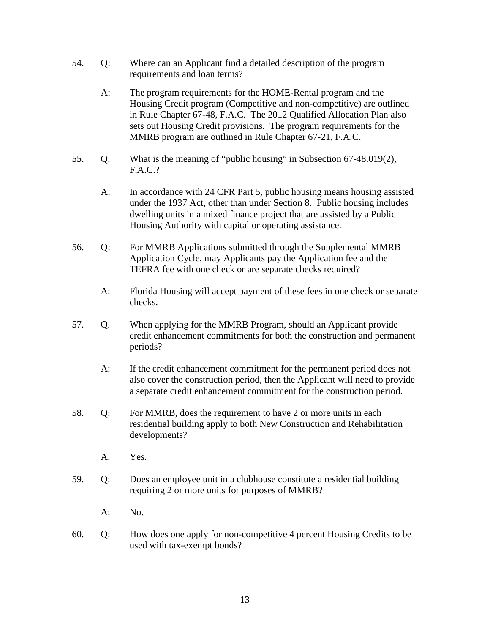- 54. Q: Where can an Applicant find a detailed description of the program requirements and loan terms?
	- A: The program requirements for the HOME-Rental program and the Housing Credit program (Competitive and non-competitive) are outlined in Rule Chapter 67-48, F.A.C. The 2012 Qualified Allocation Plan also sets out Housing Credit provisions. The program requirements for the MMRB program are outlined in Rule Chapter 67-21, F.A.C.
- 55. Q: What is the meaning of "public housing" in Subsection 67-48.019(2), F.A.C.?
	- A: In accordance with 24 CFR Part 5, public housing means housing assisted under the 1937 Act, other than under Section 8. Public housing includes dwelling units in a mixed finance project that are assisted by a Public Housing Authority with capital or operating assistance.
- 56. Q: For MMRB Applications submitted through the Supplemental MMRB Application Cycle, may Applicants pay the Application fee and the TEFRA fee with one check or are separate checks required?
	- A: Florida Housing will accept payment of these fees in one check or separate checks.
- 57. Q. When applying for the MMRB Program, should an Applicant provide credit enhancement commitments for both the construction and permanent periods?
	- A: If the credit enhancement commitment for the permanent period does not also cover the construction period, then the Applicant will need to provide a separate credit enhancement commitment for the construction period.
- 58. Q: For MMRB, does the requirement to have 2 or more units in each residential building apply to both New Construction and Rehabilitation developments?
	- A: Yes.
- 59. Q: Does an employee unit in a clubhouse constitute a residential building requiring 2 or more units for purposes of MMRB?
	- A: No.
- 60. Q: How does one apply for non-competitive 4 percent Housing Credits to be used with tax-exempt bonds?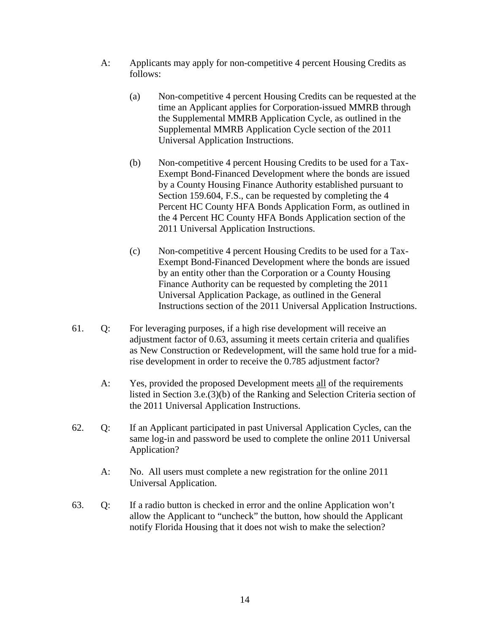- A: Applicants may apply for non-competitive 4 percent Housing Credits as follows:
	- (a) Non-competitive 4 percent Housing Credits can be requested at the time an Applicant applies for Corporation-issued MMRB through the Supplemental MMRB Application Cycle, as outlined in the Supplemental MMRB Application Cycle section of the 2011 Universal Application Instructions.
	- (b) Non-competitive 4 percent Housing Credits to be used for a Tax-Exempt Bond-Financed Development where the bonds are issued by a County Housing Finance Authority established pursuant to Section 159.604, F.S., can be requested by completing the 4 Percent HC County HFA Bonds Application Form, as outlined in the 4 Percent HC County HFA Bonds Application section of the 2011 Universal Application Instructions.
	- (c) Non-competitive 4 percent Housing Credits to be used for a Tax-Exempt Bond-Financed Development where the bonds are issued by an entity other than the Corporation or a County Housing Finance Authority can be requested by completing the 2011 Universal Application Package, as outlined in the General Instructions section of the 2011 Universal Application Instructions.
- 61. Q: For leveraging purposes, if a high rise development will receive an adjustment factor of 0.63, assuming it meets certain criteria and qualifies as New Construction or Redevelopment, will the same hold true for a midrise development in order to receive the 0.785 adjustment factor?
	- A: Yes, provided the proposed Development meets all of the requirements listed in Section 3.e.(3)(b) of the Ranking and Selection Criteria section of the 2011 Universal Application Instructions.
- 62. Q: If an Applicant participated in past Universal Application Cycles, can the same log-in and password be used to complete the online 2011 Universal Application?
	- A: No. All users must complete a new registration for the online 2011 Universal Application.
- 63. Q: If a radio button is checked in error and the online Application won't allow the Applicant to "uncheck" the button, how should the Applicant notify Florida Housing that it does not wish to make the selection?